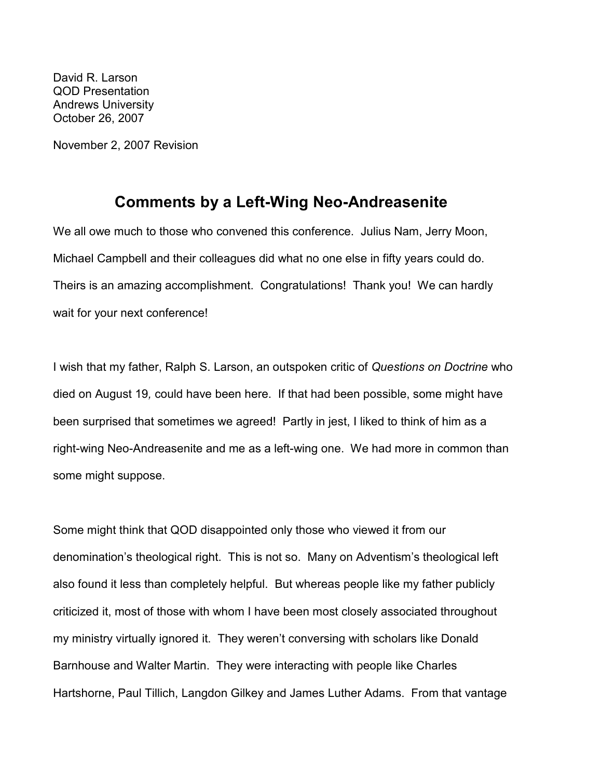David R. Larson QOD Presentation Andrews University October 26, 2007

November 2, 2007 Revision

## Comments by a Left-Wing Neo-Andreasenite

We all owe much to those who convened this conference. Julius Nam, Jerry Moon, Michael Campbell and their colleagues did what no one else in fifty years could do. Theirs is an amazing accomplishment. Congratulations! Thank you! We can hardly wait for your next conference!

I wish that my father, Ralph S. Larson, an outspoken critic of Questions on Doctrine who died on August 19, could have been here. If that had been possible, some might have been surprised that sometimes we agreed! Partly in jest, I liked to think of him as a right-wing Neo-Andreasenite and me as a left-wing one. We had more in common than some might suppose.

Some might think that QOD disappointed only those who viewed it from our denomination's theological right. This is not so. Many on Adventism's theological left also found it less than completely helpful. But whereas people like my father publicly criticized it, most of those with whom I have been most closely associated throughout my ministry virtually ignored it. They weren't conversing with scholars like Donald Barnhouse and Walter Martin. They were interacting with people like Charles Hartshorne, Paul Tillich, Langdon Gilkey and James Luther Adams. From that vantage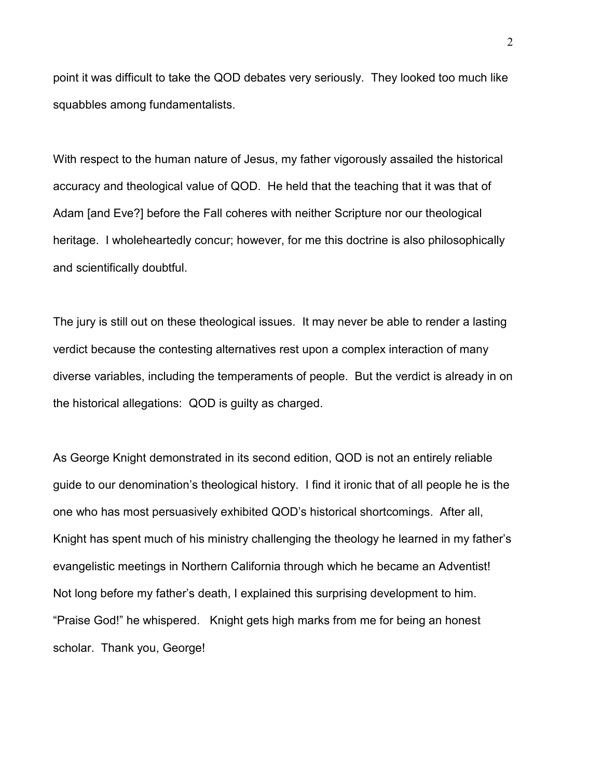point it was difficult to take the QOD debates very seriously. They looked too much like squabbles among fundamentalists.

With respect to the human nature of Jesus, my father vigorously assailed the historical accuracy and theological value of QOD. He held that the teaching that it was that of Adam [and Eve?] before the Fall coheres with neither Scripture nor our theological heritage. I wholeheartedly concur; however, for me this doctrine is also philosophically and scientifically doubtful.

The jury is still out on these theological issues. It may never be able to render a lasting verdict because the contesting alternatives rest upon a complex interaction of many diverse variables, including the temperaments of people. But the verdict is already in on the historical allegations: QOD is guilty as charged.

As George Knight demonstrated in its second edition, QOD is not an entirely reliable guide to our denomination's theological history. I find it ironic that of all people he is the one who has most persuasively exhibited QOD's historical shortcomings. After all, Knight has spent much of his ministry challenging the theology he learned in my father's evangelistic meetings in Northern California through which he became an Adventist! Not long before my father's death, I explained this surprising development to him. "Praise God!" he whispered. Knight gets high marks from me for being an honest scholar. Thank you, George!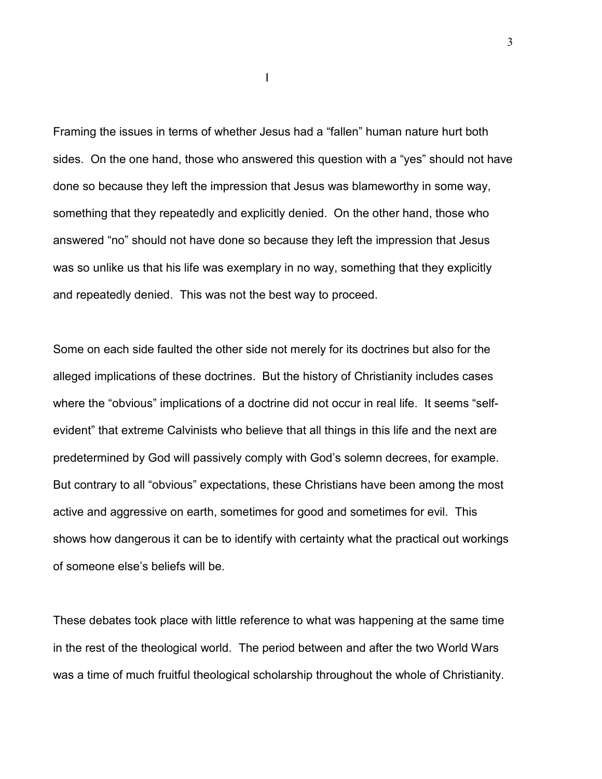Framing the issues in terms of whether Jesus had a "fallen" human nature hurt both sides. On the one hand, those who answered this question with a "yes" should not have done so because they left the impression that Jesus was blameworthy in some way, something that they repeatedly and explicitly denied. On the other hand, those who answered "no" should not have done so because they left the impression that Jesus was so unlike us that his life was exemplary in no way, something that they explicitly and repeatedly denied. This was not the best way to proceed.

Some on each side faulted the other side not merely for its doctrines but also for the alleged implications of these doctrines. But the history of Christianity includes cases where the "obvious" implications of a doctrine did not occur in real life. It seems "selfevident" that extreme Calvinists who believe that all things in this life and the next are predetermined by God will passively comply with God's solemn decrees, for example. But contrary to all "obvious" expectations, these Christians have been among the most active and aggressive on earth, sometimes for good and sometimes for evil. This shows how dangerous it can be to identify with certainty what the practical out workings of someone else's beliefs will be.

These debates took place with little reference to what was happening at the same time in the rest of the theological world. The period between and after the two World Wars was a time of much fruitful theological scholarship throughout the whole of Christianity.

**In the contract of the contract of the contract of the contract of the contract of the contract of the contract of the contract of the contract of the contract of the contract of the contract of the contract of the contra**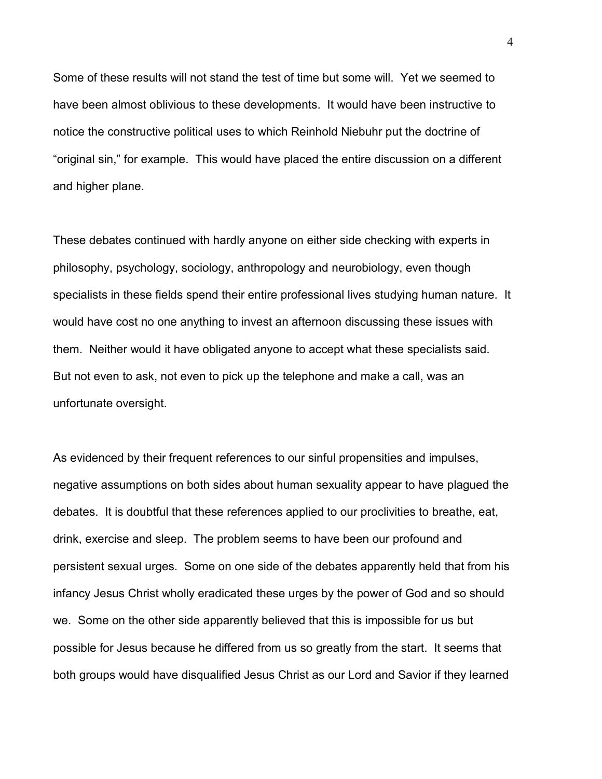Some of these results will not stand the test of time but some will. Yet we seemed to have been almost oblivious to these developments. It would have been instructive to notice the constructive political uses to which Reinhold Niebuhr put the doctrine of "original sin," for example. This would have placed the entire discussion on a different and higher plane.

These debates continued with hardly anyone on either side checking with experts in philosophy, psychology, sociology, anthropology and neurobiology, even though specialists in these fields spend their entire professional lives studying human nature. It would have cost no one anything to invest an afternoon discussing these issues with them. Neither would it have obligated anyone to accept what these specialists said. But not even to ask, not even to pick up the telephone and make a call, was an unfortunate oversight.

As evidenced by their frequent references to our sinful propensities and impulses, negative assumptions on both sides about human sexuality appear to have plagued the debates. It is doubtful that these references applied to our proclivities to breathe, eat, drink, exercise and sleep. The problem seems to have been our profound and persistent sexual urges. Some on one side of the debates apparently held that from his infancy Jesus Christ wholly eradicated these urges by the power of God and so should we. Some on the other side apparently believed that this is impossible for us but possible for Jesus because he differed from us so greatly from the start. It seems that both groups would have disqualified Jesus Christ as our Lord and Savior if they learned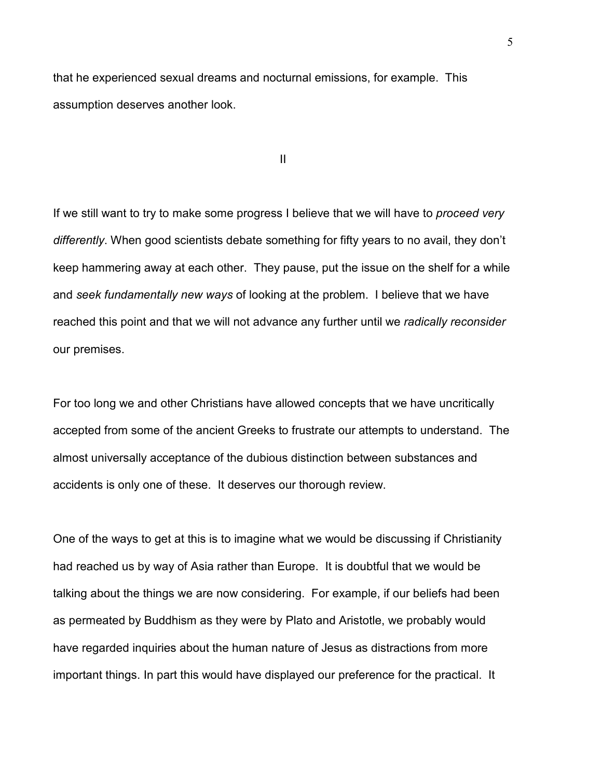that he experienced sexual dreams and nocturnal emissions, for example. This assumption deserves another look.

II

If we still want to try to make some progress I believe that we will have to proceed very differently. When good scientists debate something for fifty years to no avail, they don't keep hammering away at each other. They pause, put the issue on the shelf for a while and seek fundamentally new ways of looking at the problem. I believe that we have reached this point and that we will not advance any further until we radically reconsider our premises.

For too long we and other Christians have allowed concepts that we have uncritically accepted from some of the ancient Greeks to frustrate our attempts to understand. The almost universally acceptance of the dubious distinction between substances and accidents is only one of these. It deserves our thorough review.

One of the ways to get at this is to imagine what we would be discussing if Christianity had reached us by way of Asia rather than Europe. It is doubtful that we would be talking about the things we are now considering. For example, if our beliefs had been as permeated by Buddhism as they were by Plato and Aristotle, we probably would have regarded inquiries about the human nature of Jesus as distractions from more important things. In part this would have displayed our preference for the practical. It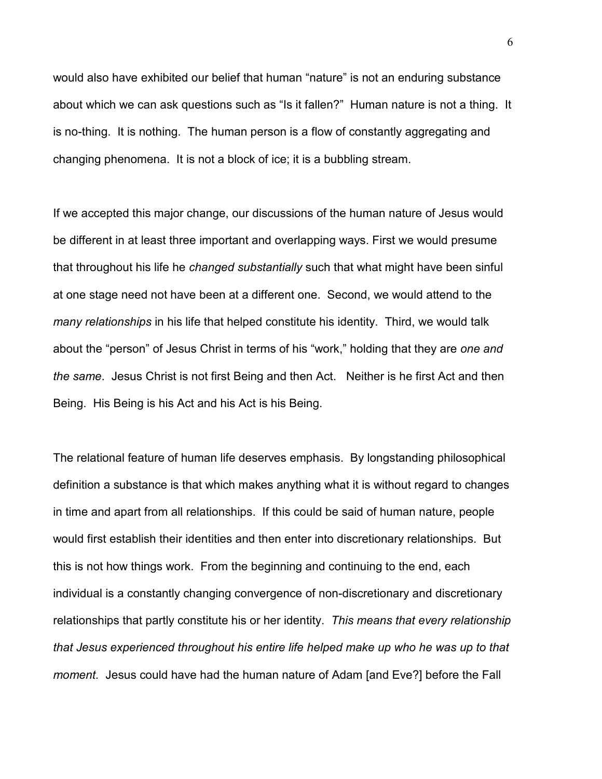would also have exhibited our belief that human "nature" is not an enduring substance about which we can ask questions such as "Is it fallen?" Human nature is not a thing. It is no-thing. It is nothing. The human person is a flow of constantly aggregating and changing phenomena. It is not a block of ice; it is a bubbling stream.

If we accepted this major change, our discussions of the human nature of Jesus would be different in at least three important and overlapping ways. First we would presume that throughout his life he changed substantially such that what might have been sinful at one stage need not have been at a different one. Second, we would attend to the many relationships in his life that helped constitute his identity. Third, we would talk about the "person" of Jesus Christ in terms of his "work," holding that they are one and the same. Jesus Christ is not first Being and then Act. Neither is he first Act and then Being. His Being is his Act and his Act is his Being.

The relational feature of human life deserves emphasis. By longstanding philosophical definition a substance is that which makes anything what it is without regard to changes in time and apart from all relationships. If this could be said of human nature, people would first establish their identities and then enter into discretionary relationships. But this is not how things work. From the beginning and continuing to the end, each individual is a constantly changing convergence of non-discretionary and discretionary relationships that partly constitute his or her identity. This means that every relationship that Jesus experienced throughout his entire life helped make up who he was up to that moment. Jesus could have had the human nature of Adam [and Eve?] before the Fall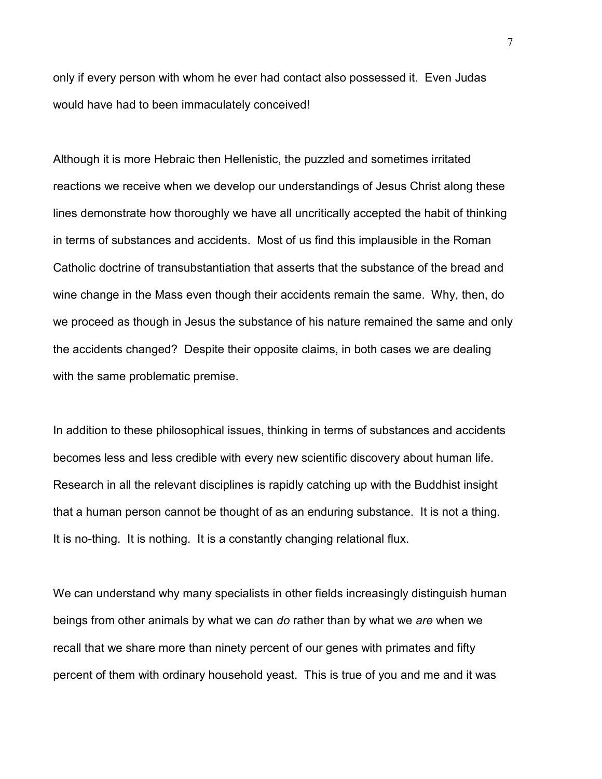only if every person with whom he ever had contact also possessed it. Even Judas would have had to been immaculately conceived!

Although it is more Hebraic then Hellenistic, the puzzled and sometimes irritated reactions we receive when we develop our understandings of Jesus Christ along these lines demonstrate how thoroughly we have all uncritically accepted the habit of thinking in terms of substances and accidents. Most of us find this implausible in the Roman Catholic doctrine of transubstantiation that asserts that the substance of the bread and wine change in the Mass even though their accidents remain the same. Why, then, do we proceed as though in Jesus the substance of his nature remained the same and only the accidents changed? Despite their opposite claims, in both cases we are dealing with the same problematic premise.

In addition to these philosophical issues, thinking in terms of substances and accidents becomes less and less credible with every new scientific discovery about human life. Research in all the relevant disciplines is rapidly catching up with the Buddhist insight that a human person cannot be thought of as an enduring substance. It is not a thing. It is no-thing. It is nothing. It is a constantly changing relational flux.

We can understand why many specialists in other fields increasingly distinguish human beings from other animals by what we can do rather than by what we are when we recall that we share more than ninety percent of our genes with primates and fifty percent of them with ordinary household yeast. This is true of you and me and it was

7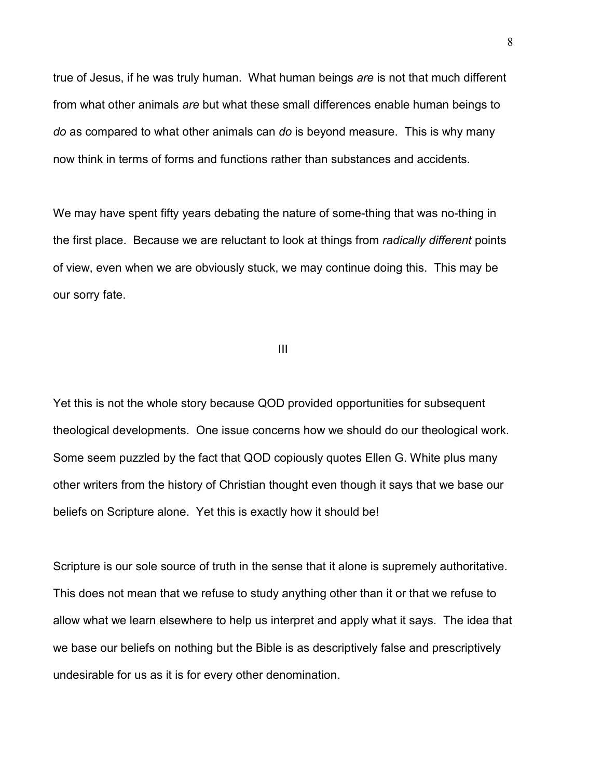true of Jesus, if he was truly human. What human beings are is not that much different from what other animals are but what these small differences enable human beings to do as compared to what other animals can do is beyond measure. This is why many now think in terms of forms and functions rather than substances and accidents.

We may have spent fifty years debating the nature of some-thing that was no-thing in the first place. Because we are reluctant to look at things from radically different points of view, even when we are obviously stuck, we may continue doing this. This may be our sorry fate.

III

Yet this is not the whole story because QOD provided opportunities for subsequent theological developments. One issue concerns how we should do our theological work. Some seem puzzled by the fact that QOD copiously quotes Ellen G. White plus many other writers from the history of Christian thought even though it says that we base our beliefs on Scripture alone. Yet this is exactly how it should be!

Scripture is our sole source of truth in the sense that it alone is supremely authoritative. This does not mean that we refuse to study anything other than it or that we refuse to allow what we learn elsewhere to help us interpret and apply what it says. The idea that we base our beliefs on nothing but the Bible is as descriptively false and prescriptively undesirable for us as it is for every other denomination.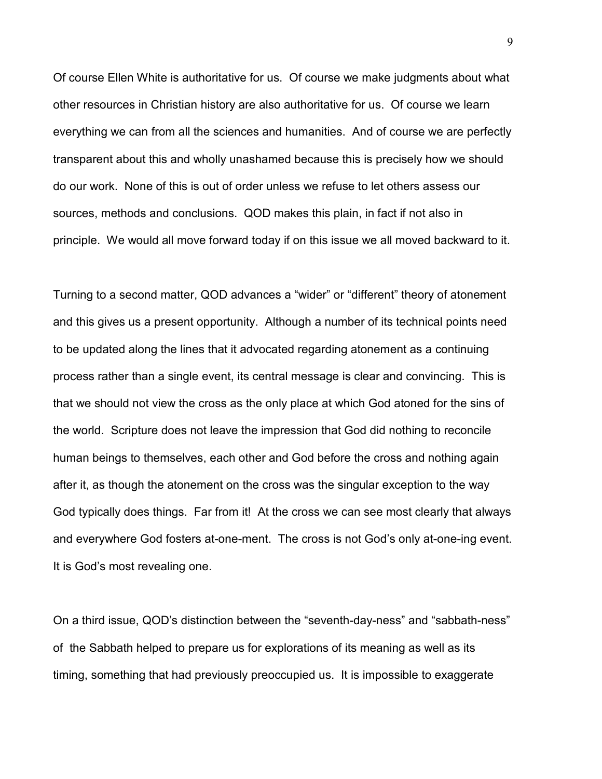Of course Ellen White is authoritative for us. Of course we make judgments about what other resources in Christian history are also authoritative for us. Of course we learn everything we can from all the sciences and humanities. And of course we are perfectly transparent about this and wholly unashamed because this is precisely how we should do our work. None of this is out of order unless we refuse to let others assess our sources, methods and conclusions. QOD makes this plain, in fact if not also in principle. We would all move forward today if on this issue we all moved backward to it.

Turning to a second matter, QOD advances a "wider" or "different" theory of atonement and this gives us a present opportunity. Although a number of its technical points need to be updated along the lines that it advocated regarding atonement as a continuing process rather than a single event, its central message is clear and convincing. This is that we should not view the cross as the only place at which God atoned for the sins of the world. Scripture does not leave the impression that God did nothing to reconcile human beings to themselves, each other and God before the cross and nothing again after it, as though the atonement on the cross was the singular exception to the way God typically does things. Far from it! At the cross we can see most clearly that always and everywhere God fosters at-one-ment. The cross is not God's only at-one-ing event. It is God's most revealing one.

On a third issue, QOD's distinction between the "seventh-day-ness" and "sabbath-ness" of the Sabbath helped to prepare us for explorations of its meaning as well as its timing, something that had previously preoccupied us. It is impossible to exaggerate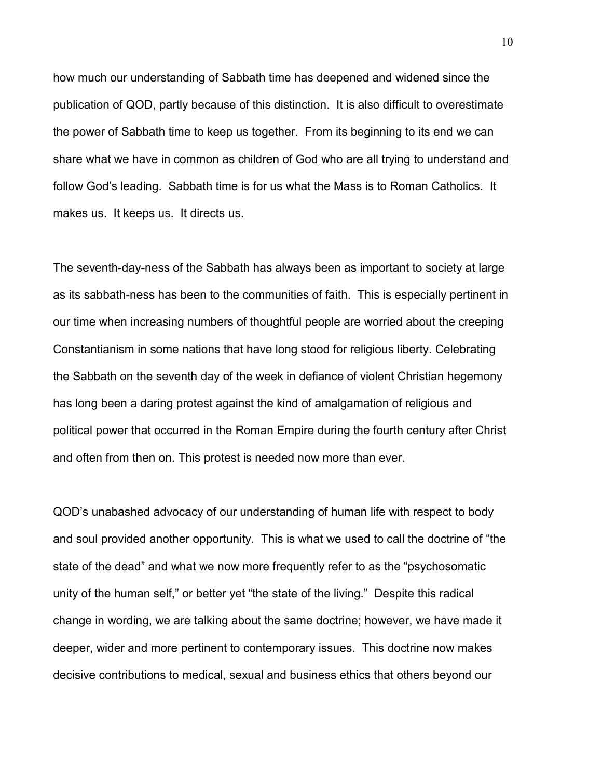how much our understanding of Sabbath time has deepened and widened since the publication of QOD, partly because of this distinction. It is also difficult to overestimate the power of Sabbath time to keep us together. From its beginning to its end we can share what we have in common as children of God who are all trying to understand and follow God's leading. Sabbath time is for us what the Mass is to Roman Catholics. It makes us. It keeps us. It directs us.

The seventh-day-ness of the Sabbath has always been as important to society at large as its sabbath-ness has been to the communities of faith. This is especially pertinent in our time when increasing numbers of thoughtful people are worried about the creeping Constantianism in some nations that have long stood for religious liberty. Celebrating the Sabbath on the seventh day of the week in defiance of violent Christian hegemony has long been a daring protest against the kind of amalgamation of religious and political power that occurred in the Roman Empire during the fourth century after Christ and often from then on. This protest is needed now more than ever.

QOD's unabashed advocacy of our understanding of human life with respect to body and soul provided another opportunity. This is what we used to call the doctrine of "the state of the dead" and what we now more frequently refer to as the "psychosomatic unity of the human self," or better yet "the state of the living." Despite this radical change in wording, we are talking about the same doctrine; however, we have made it deeper, wider and more pertinent to contemporary issues. This doctrine now makes decisive contributions to medical, sexual and business ethics that others beyond our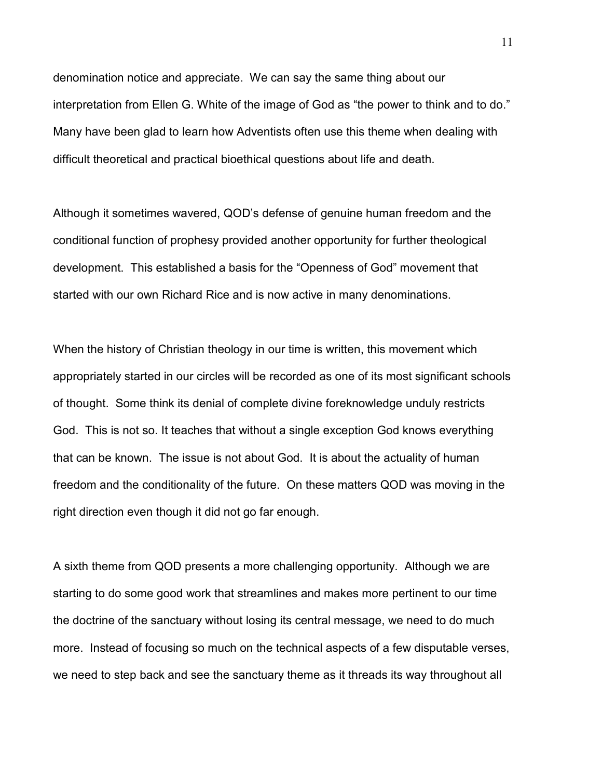denomination notice and appreciate. We can say the same thing about our interpretation from Ellen G. White of the image of God as "the power to think and to do." Many have been glad to learn how Adventists often use this theme when dealing with difficult theoretical and practical bioethical questions about life and death.

Although it sometimes wavered, QOD's defense of genuine human freedom and the conditional function of prophesy provided another opportunity for further theological development. This established a basis for the "Openness of God" movement that started with our own Richard Rice and is now active in many denominations.

When the history of Christian theology in our time is written, this movement which appropriately started in our circles will be recorded as one of its most significant schools of thought. Some think its denial of complete divine foreknowledge unduly restricts God. This is not so. It teaches that without a single exception God knows everything that can be known. The issue is not about God. It is about the actuality of human freedom and the conditionality of the future. On these matters QOD was moving in the right direction even though it did not go far enough.

A sixth theme from QOD presents a more challenging opportunity. Although we are starting to do some good work that streamlines and makes more pertinent to our time the doctrine of the sanctuary without losing its central message, we need to do much more. Instead of focusing so much on the technical aspects of a few disputable verses, we need to step back and see the sanctuary theme as it threads its way throughout all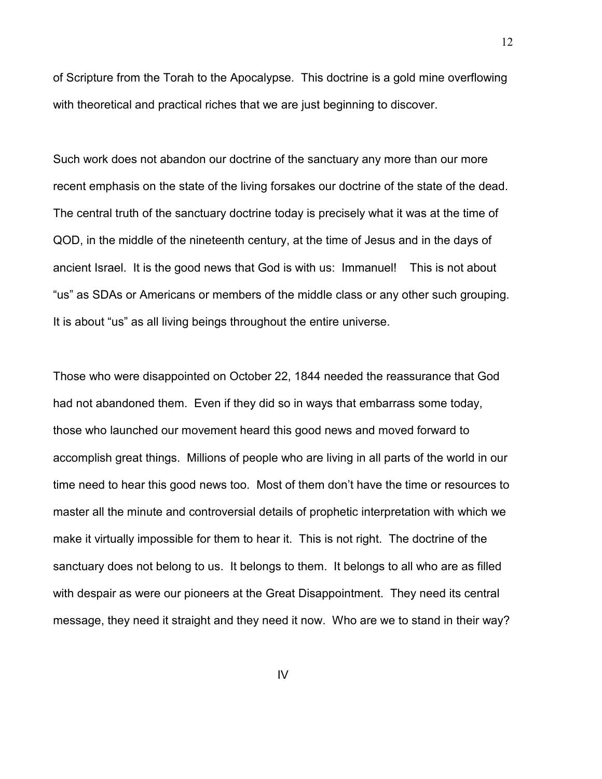of Scripture from the Torah to the Apocalypse. This doctrine is a gold mine overflowing with theoretical and practical riches that we are just beginning to discover.

Such work does not abandon our doctrine of the sanctuary any more than our more recent emphasis on the state of the living forsakes our doctrine of the state of the dead. The central truth of the sanctuary doctrine today is precisely what it was at the time of QOD, in the middle of the nineteenth century, at the time of Jesus and in the days of ancient Israel. It is the good news that God is with us: Immanuel! This is not about "us" as SDAs or Americans or members of the middle class or any other such grouping. It is about "us" as all living beings throughout the entire universe.

Those who were disappointed on October 22, 1844 needed the reassurance that God had not abandoned them. Even if they did so in ways that embarrass some today, those who launched our movement heard this good news and moved forward to accomplish great things. Millions of people who are living in all parts of the world in our time need to hear this good news too. Most of them don't have the time or resources to master all the minute and controversial details of prophetic interpretation with which we make it virtually impossible for them to hear it. This is not right. The doctrine of the sanctuary does not belong to us. It belongs to them. It belongs to all who are as filled with despair as were our pioneers at the Great Disappointment. They need its central message, they need it straight and they need it now. Who are we to stand in their way?

IV